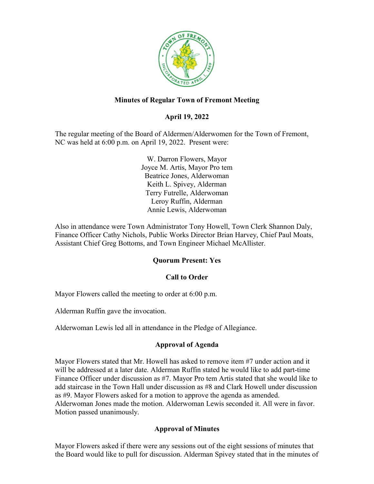

## **Minutes of Regular Town of Fremont Meeting**

### **April 19, 2022**

The regular meeting of the Board of Aldermen/Alderwomen for the Town of Fremont, NC was held at 6:00 p.m. on April 19, 2022. Present were:

> W. Darron Flowers, Mayor Joyce M. Artis, Mayor Pro tem Beatrice Jones, Alderwoman Keith L. Spivey, Alderman Terry Futrelle, Alderwoman Leroy Ruffin, Alderman Annie Lewis, Alderwoman

Also in attendance were Town Administrator Tony Howell, Town Clerk Shannon Daly, Finance Officer Cathy Nichols, Public Works Director Brian Harvey, Chief Paul Moats, Assistant Chief Greg Bottoms, and Town Engineer Michael McAllister.

### **Quorum Present: Yes**

### **Call to Order**

Mayor Flowers called the meeting to order at 6:00 p.m.

Alderman Ruffin gave the invocation.

Alderwoman Lewis led all in attendance in the Pledge of Allegiance.

### **Approval of Agenda**

Mayor Flowers stated that Mr. Howell has asked to remove item #7 under action and it will be addressed at a later date. Alderman Ruffin stated he would like to add part-time Finance Officer under discussion as #7. Mayor Pro tem Artis stated that she would like to add staircase in the Town Hall under discussion as #8 and Clark Howell under discussion as #9. Mayor Flowers asked for a motion to approve the agenda as amended. Alderwoman Jones made the motion. Alderwoman Lewis seconded it. All were in favor. Motion passed unanimously.

### **Approval of Minutes**

Mayor Flowers asked if there were any sessions out of the eight sessions of minutes that the Board would like to pull for discussion. Alderman Spivey stated that in the minutes of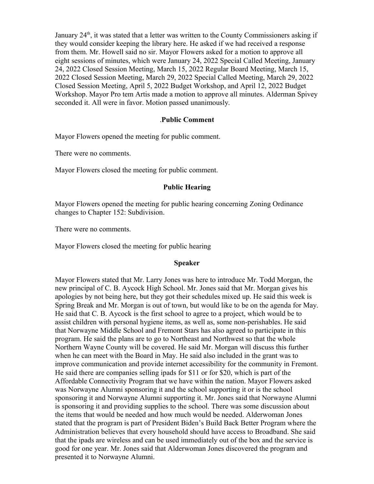January  $24<sup>th</sup>$ , it was stated that a letter was written to the County Commissioners asking if they would consider keeping the library here. He asked if we had received a response from them. Mr. Howell said no sir. Mayor Flowers asked for a motion to approve all eight sessions of minutes, which were January 24, 2022 Special Called Meeting, January 24, 2022 Closed Session Meeting, March 15, 2022 Regular Board Meeting, March 15, 2022 Closed Session Meeting, March 29, 2022 Special Called Meeting, March 29, 2022 Closed Session Meeting, April 5, 2022 Budget Workshop, and April 12, 2022 Budget Workshop. Mayor Pro tem Artis made a motion to approve all minutes. Alderman Spivey seconded it. All were in favor. Motion passed unanimously.

#### .**Public Comment**

Mayor Flowers opened the meeting for public comment.

There were no comments.

Mayor Flowers closed the meeting for public comment.

#### **Public Hearing**

Mayor Flowers opened the meeting for public hearing concerning Zoning Ordinance changes to Chapter 152: Subdivision.

There were no comments.

Mayor Flowers closed the meeting for public hearing

#### **Speaker**

Mayor Flowers stated that Mr. Larry Jones was here to introduce Mr. Todd Morgan, the new principal of C. B. Aycock High School. Mr. Jones said that Mr. Morgan gives his apologies by not being here, but they got their schedules mixed up. He said this week is Spring Break and Mr. Morgan is out of town, but would like to be on the agenda for May. He said that C. B. Aycock is the first school to agree to a project, which would be to assist children with personal hygiene items, as well as, some non-perishables. He said that Norwayne Middle School and Fremont Stars has also agreed to participate in this program. He said the plans are to go to Northeast and Northwest so that the whole Northern Wayne County will be covered. He said Mr. Morgan will discuss this further when he can meet with the Board in May. He said also included in the grant was to improve communication and provide internet accessibility for the community in Fremont. He said there are companies selling ipads for \$11 or for \$20, which is part of the Affordable Connectivity Program that we have within the nation. Mayor Flowers asked was Norwayne Alumni sponsoring it and the school supporting it or is the school sponsoring it and Norwayne Alumni supporting it. Mr. Jones said that Norwayne Alumni is sponsoring it and providing supplies to the school. There was some discussion about the items that would be needed and how much would be needed. Alderwoman Jones stated that the program is part of President Biden's Build Back Better Program where the Administration believes that every household should have access to Broadband. She said that the ipads are wireless and can be used immediately out of the box and the service is good for one year. Mr. Jones said that Alderwoman Jones discovered the program and presented it to Norwayne Alumni.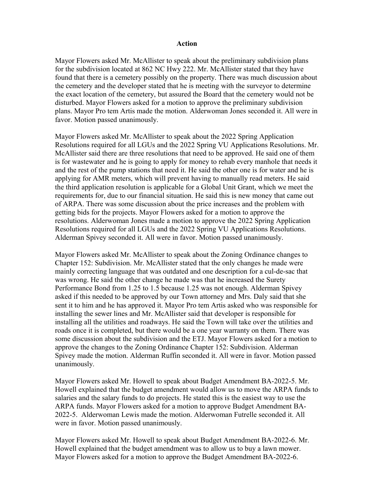#### **Action**

Mayor Flowers asked Mr. McAllister to speak about the preliminary subdivision plans for the subdivision located at 862 NC Hwy 222. Mr. McAllister stated that they have found that there is a cemetery possibly on the property. There was much discussion about the cemetery and the developer stated that he is meeting with the surveyor to determine the exact location of the cemetery, but assured the Board that the cemetery would not be disturbed. Mayor Flowers asked for a motion to approve the preliminary subdivision plans. Mayor Pro tem Artis made the motion. Alderwoman Jones seconded it. All were in favor. Motion passed unanimously.

Mayor Flowers asked Mr. McAllister to speak about the 2022 Spring Application Resolutions required for all LGUs and the 2022 Spring VU Applications Resolutions. Mr. McAllister said there are three resolutions that need to be approved. He said one of them is for wastewater and he is going to apply for money to rehab every manhole that needs it and the rest of the pump stations that need it. He said the other one is for water and he is applying for AMR meters, which will prevent having to manually read meters. He said the third application resolution is applicable for a Global Unit Grant, which we meet the requirements for, due to our financial situation. He said this is new money that came out of ARPA. There was some discussion about the price increases and the problem with getting bids for the projects. Mayor Flowers asked for a motion to approve the resolutions. Alderwoman Jones made a motion to approve the 2022 Spring Application Resolutions required for all LGUs and the 2022 Spring VU Applications Resolutions. Alderman Spivey seconded it. All were in favor. Motion passed unanimously.

Mayor Flowers asked Mr. McAllister to speak about the Zoning Ordinance changes to Chapter 152: Subdivision. Mr. McAllister stated that the only changes he made were mainly correcting language that was outdated and one description for a cul-de-sac that was wrong. He said the other change he made was that he increased the Surety Performance Bond from 1.25 to 1.5 because 1.25 was not enough. Alderman Spivey asked if this needed to be approved by our Town attorney and Mrs. Daly said that she sent it to him and he has approved it. Mayor Pro tem Artis asked who was responsible for installing the sewer lines and Mr. McAllister said that developer is responsible for installing all the utilities and roadways. He said the Town will take over the utilities and roads once it is completed, but there would be a one year warranty on them. There was some discussion about the subdivision and the ETJ. Mayor Flowers asked for a motion to approve the changes to the Zoning Ordinance Chapter 152: Subdivision. Alderman Spivey made the motion. Alderman Ruffin seconded it. All were in favor. Motion passed unanimously.

Mayor Flowers asked Mr. Howell to speak about Budget Amendment BA-2022-5. Mr. Howell explained that the budget amendment would allow us to move the ARPA funds to salaries and the salary funds to do projects. He stated this is the easiest way to use the ARPA funds. Mayor Flowers asked for a motion to approve Budget Amendment BA-2022-5. Alderwoman Lewis made the motion. Alderwoman Futrelle seconded it. All were in favor. Motion passed unanimously.

Mayor Flowers asked Mr. Howell to speak about Budget Amendment BA-2022-6. Mr. Howell explained that the budget amendment was to allow us to buy a lawn mower. Mayor Flowers asked for a motion to approve the Budget Amendment BA-2022-6.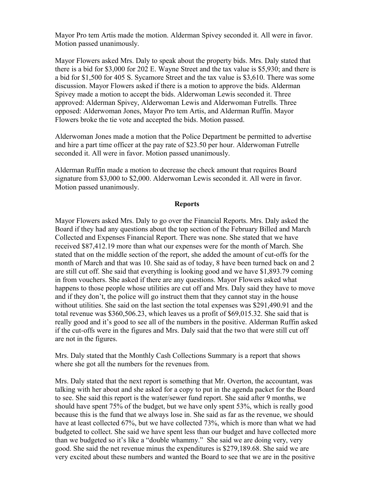Mayor Pro tem Artis made the motion. Alderman Spivey seconded it. All were in favor. Motion passed unanimously.

Mayor Flowers asked Mrs. Daly to speak about the property bids. Mrs. Daly stated that there is a bid for \$3,000 for 202 E. Wayne Street and the tax value is \$5,930; and there is a bid for \$1,500 for 405 S. Sycamore Street and the tax value is \$3,610. There was some discussion. Mayor Flowers asked if there is a motion to approve the bids. Alderman Spivey made a motion to accept the bids. Alderwoman Lewis seconded it. Three approved: Alderman Spivey, Alderwoman Lewis and Alderwoman Futrells. Three opposed: Alderwoman Jones, Mayor Pro tem Artis, and Alderman Ruffin. Mayor Flowers broke the tie vote and accepted the bids. Motion passed.

Alderwoman Jones made a motion that the Police Department be permitted to advertise and hire a part time officer at the pay rate of \$23.50 per hour. Alderwoman Futrelle seconded it. All were in favor. Motion passed unanimously.

Alderman Ruffin made a motion to decrease the check amount that requires Board signature from \$3,000 to \$2,000. Alderwoman Lewis seconded it. All were in favor. Motion passed unanimously.

#### **Reports**

Mayor Flowers asked Mrs. Daly to go over the Financial Reports. Mrs. Daly asked the Board if they had any questions about the top section of the February Billed and March Collected and Expenses Financial Report. There was none. She stated that we have received \$87,412.19 more than what our expenses were for the month of March. She stated that on the middle section of the report, she added the amount of cut-offs for the month of March and that was 10. She said as of today, 8 have been turned back on and 2 are still cut off. She said that everything is looking good and we have \$1,893.79 coming in from vouchers. She asked if there are any questions. Mayor Flowers asked what happens to those people whose utilities are cut off and Mrs. Daly said they have to move and if they don't, the police will go instruct them that they cannot stay in the house without utilities. She said on the last section the total expenses was \$291,490.91 and the total revenue was \$360,506.23, which leaves us a profit of \$69,015.32. She said that is really good and it's good to see all of the numbers in the positive. Alderman Ruffin asked if the cut-offs were in the figures and Mrs. Daly said that the two that were still cut off are not in the figures.

Mrs. Daly stated that the Monthly Cash Collections Summary is a report that shows where she got all the numbers for the revenues from.

Mrs. Daly stated that the next report is something that Mr. Overton, the accountant, was talking with her about and she asked for a copy to put in the agenda packet for the Board to see. She said this report is the water/sewer fund report. She said after 9 months, we should have spent 75% of the budget, but we have only spent 53%, which is really good because this is the fund that we always lose in. She said as far as the revenue, we should have at least collected 67%, but we have collected 73%, which is more than what we had budgeted to collect. She said we have spent less than our budget and have collected more than we budgeted so it's like a "double whammy." She said we are doing very, very good. She said the net revenue minus the expenditures is \$279,189.68. She said we are very excited about these numbers and wanted the Board to see that we are in the positive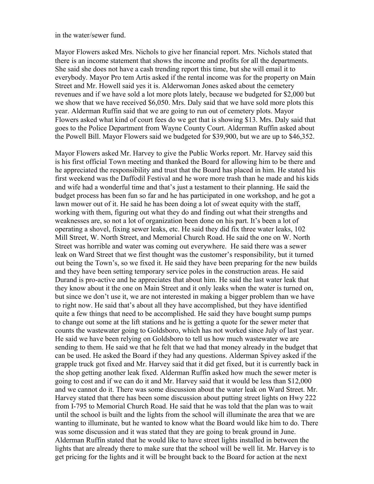#### in the water/sewer fund.

Mayor Flowers asked Mrs. Nichols to give her financial report. Mrs. Nichols stated that there is an income statement that shows the income and profits for all the departments. She said she does not have a cash trending report this time, but she will email it to everybody. Mayor Pro tem Artis asked if the rental income was for the property on Main Street and Mr. Howell said yes it is. Alderwoman Jones asked about the cemetery revenues and if we have sold a lot more plots lately, because we budgeted for \$2,000 but we show that we have received \$6,050. Mrs. Daly said that we have sold more plots this year. Alderman Ruffin said that we are going to run out of cemetery plots. Mayor Flowers asked what kind of court fees do we get that is showing \$13. Mrs. Daly said that goes to the Police Department from Wayne County Court. Alderman Ruffin asked about the Powell Bill. Mayor Flowers said we budgeted for \$39,900, but we are up to \$46,352.

Mayor Flowers asked Mr. Harvey to give the Public Works report. Mr. Harvey said this is his first official Town meeting and thanked the Board for allowing him to be there and he appreciated the responsibility and trust that the Board has placed in him. He stated his first weekend was the Daffodil Festival and he wore more trash than he made and his kids and wife had a wonderful time and that's just a testament to their planning. He said the budget process has been fun so far and he has participated in one workshop, and he got a lawn mower out of it. He said he has been doing a lot of sweat equity with the staff, working with them, figuring out what they do and finding out what their strengths and weaknesses are, so not a lot of organization been done on his part. It's been a lot of operating a shovel, fixing sewer leaks, etc. He said they did fix three water leaks, 102 Mill Street, W. North Street, and Memorial Church Road. He said the one on W. North Street was horrible and water was coming out everywhere. He said there was a sewer leak on Ward Street that we first thought was the customer's responsibility, but it turned out being the Town's, so we fixed it. He said they have been preparing for the new builds and they have been setting temporary service poles in the construction areas. He said Durand is pro-active and he appreciates that about him. He said the last water leak that they know about it the one on Main Street and it only leaks when the water is turned on, but since we don't use it, we are not interested in making a bigger problem than we have to right now. He said that's about all they have accomplished, but they have identified quite a few things that need to be accomplished. He said they have bought sump pumps to change out some at the lift stations and he is getting a quote for the sewer meter that counts the wastewater going to Goldsboro, which has not worked since July of last year. He said we have been relying on Goldsboro to tell us how much wastewater we are sending to them. He said we that he felt that we had that money already in the budget that can be used. He asked the Board if they had any questions. Alderman Spivey asked if the grapple truck got fixed and Mr. Harvey said that it did get fixed, but it is currently back in the shop getting another leak fixed. Alderman Ruffin asked how much the sewer meter is going to cost and if we can do it and Mr. Harvey said that it would be less than \$12,000 and we cannot do it. There was some discussion about the water leak on Ward Street. Mr. Harvey stated that there has been some discussion about putting street lights on Hwy 222 from I-795 to Memorial Church Road. He said that he was told that the plan was to wait until the school is built and the lights from the school will illuminate the area that we are wanting to illuminate, but he wanted to know what the Board would like him to do. There was some discussion and it was stated that they are going to break ground in June. Alderman Ruffin stated that he would like to have street lights installed in between the lights that are already there to make sure that the school will be well lit. Mr. Harvey is to get pricing for the lights and it will be brought back to the Board for action at the next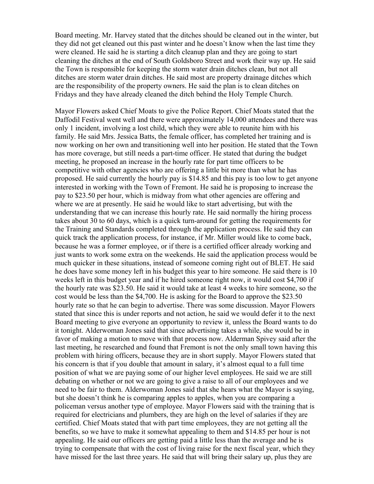Board meeting. Mr. Harvey stated that the ditches should be cleaned out in the winter, but they did not get cleaned out this past winter and he doesn't know when the last time they were cleaned. He said he is starting a ditch cleanup plan and they are going to start cleaning the ditches at the end of South Goldsboro Street and work their way up. He said the Town is responsible for keeping the storm water drain ditches clean, but not all ditches are storm water drain ditches. He said most are property drainage ditches which are the responsibility of the property owners. He said the plan is to clean ditches on Fridays and they have already cleaned the ditch behind the Holy Temple Church.

Mayor Flowers asked Chief Moats to give the Police Report. Chief Moats stated that the Daffodil Festival went well and there were approximately 14,000 attendees and there was only 1 incident, involving a lost child, which they were able to reunite him with his family. He said Mrs. Jessica Batts, the female officer, has completed her training and is now working on her own and transitioning well into her position. He stated that the Town has more coverage, but still needs a part-time officer. He stated that during the budget meeting, he proposed an increase in the hourly rate for part time officers to be competitive with other agencies who are offering a little bit more than what he has proposed. He said currently the hourly pay is \$14.85 and this pay is too low to get anyone interested in working with the Town of Fremont. He said he is proposing to increase the pay to \$23.50 per hour, which is midway from what other agencies are offering and where we are at presently. He said he would like to start advertising, but with the understanding that we can increase this hourly rate. He said normally the hiring process takes about 30 to 60 days, which is a quick turn-around for getting the requirements for the Training and Standards completed through the application process. He said they can quick track the application process, for instance, if Mr. Miller would like to come back, because he was a former employee, or if there is a certified officer already working and just wants to work some extra on the weekends. He said the application process would be much quicker in these situations, instead of someone coming right out of BLET. He said he does have some money left in his budget this year to hire someone. He said there is 10 weeks left in this budget year and if he hired someone right now, it would cost \$4,700 if the hourly rate was \$23.50. He said it would take at least 4 weeks to hire someone, so the cost would be less than the \$4,700. He is asking for the Board to approve the \$23.50 hourly rate so that he can begin to advertise. There was some discussion. Mayor Flowers stated that since this is under reports and not action, he said we would defer it to the next Board meeting to give everyone an opportunity to review it, unless the Board wants to do it tonight. Alderwoman Jones said that since advertising takes a while, she would be in favor of making a motion to move with that process now. Alderman Spivey said after the last meeting, he researched and found that Fremont is not the only small town having this problem with hiring officers, because they are in short supply. Mayor Flowers stated that his concern is that if you double that amount in salary, it's almost equal to a full time position of what we are paying some of our higher level employees. He said we are still debating on whether or not we are going to give a raise to all of our employees and we need to be fair to them. Alderwoman Jones said that she hears what the Mayor is saying, but she doesn't think he is comparing apples to apples, when you are comparing a policeman versus another type of employee. Mayor Flowers said with the training that is required for electricians and plumbers, they are high on the level of salaries if they are certified. Chief Moats stated that with part time employees, they are not getting all the benefits, so we have to make it somewhat appealing to them and \$14.85 per hour is not appealing. He said our officers are getting paid a little less than the average and he is trying to compensate that with the cost of living raise for the next fiscal year, which they have missed for the last three years. He said that will bring their salary up, plus they are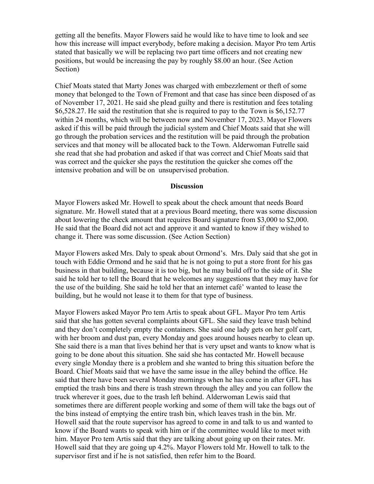getting all the benefits. Mayor Flowers said he would like to have time to look and see how this increase will impact everybody, before making a decision. Mayor Pro tem Artis stated that basically we will be replacing two part time officers and not creating new positions, but would be increasing the pay by roughly \$8.00 an hour. (See Action Section)

Chief Moats stated that Marty Jones was charged with embezzlement or theft of some money that belonged to the Town of Fremont and that case has since been disposed of as of November 17, 2021. He said she plead guilty and there is restitution and fees totaling \$6,528.27. He said the restitution that she is required to pay to the Town is \$6,152.77 within 24 months, which will be between now and November 17, 2023. Mayor Flowers asked if this will be paid through the judicial system and Chief Moats said that she will go through the probation services and the restitution will be paid through the probation services and that money will be allocated back to the Town. Alderwoman Futrelle said she read that she had probation and asked if that was correct and Chief Moats said that was correct and the quicker she pays the restitution the quicker she comes off the intensive probation and will be on unsupervised probation.

#### **Discussion**

Mayor Flowers asked Mr. Howell to speak about the check amount that needs Board signature. Mr. Howell stated that at a previous Board meeting, there was some discussion about lowering the check amount that requires Board signature from \$3,000 to \$2,000. He said that the Board did not act and approve it and wanted to know if they wished to change it. There was some discussion. (See Action Section)

Mayor Flowers asked Mrs. Daly to speak about Ormond's. Mrs. Daly said that she got in touch with Eddie Ormond and he said that he is not going to put a store front for his gas business in that building, because it is too big, but he may build off to the side of it. She said he told her to tell the Board that he welcomes any suggestions that they may have for the use of the building. She said he told her that an internet café' wanted to lease the building, but he would not lease it to them for that type of business.

Mayor Flowers asked Mayor Pro tem Artis to speak about GFL. Mayor Pro tem Artis said that she has gotten several complaints about GFL. She said they leave trash behind and they don't completely empty the containers. She said one lady gets on her golf cart, with her broom and dust pan, every Monday and goes around houses nearby to clean up. She said there is a man that lives behind her that is very upset and wants to know what is going to be done about this situation. She said she has contacted Mr. Howell because every single Monday there is a problem and she wanted to bring this situation before the Board. Chief Moats said that we have the same issue in the alley behind the office. He said that there have been several Monday mornings when he has come in after GFL has emptied the trash bins and there is trash strewn through the alley and you can follow the truck wherever it goes, due to the trash left behind. Alderwoman Lewis said that sometimes there are different people working and some of them will take the bags out of the bins instead of emptying the entire trash bin, which leaves trash in the bin. Mr. Howell said that the route supervisor has agreed to come in and talk to us and wanted to know if the Board wants to speak with him or if the committee would like to meet with him. Mayor Pro tem Artis said that they are talking about going up on their rates. Mr. Howell said that they are going up 4.2%. Mayor Flowers told Mr. Howell to talk to the supervisor first and if he is not satisfied, then refer him to the Board.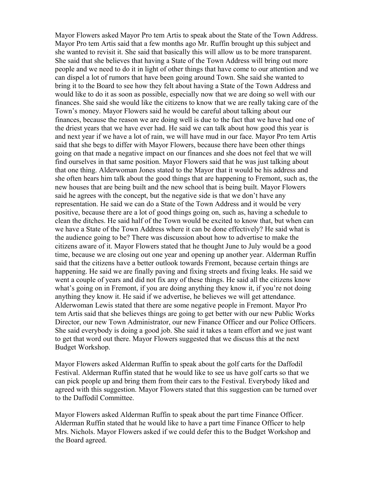Mayor Flowers asked Mayor Pro tem Artis to speak about the State of the Town Address. Mayor Pro tem Artis said that a few months ago Mr. Ruffin brought up this subject and she wanted to revisit it. She said that basically this will allow us to be more transparent. She said that she believes that having a State of the Town Address will bring out more people and we need to do it in light of other things that have come to our attention and we can dispel a lot of rumors that have been going around Town. She said she wanted to bring it to the Board to see how they felt about having a State of the Town Address and would like to do it as soon as possible, especially now that we are doing so well with our finances. She said she would like the citizens to know that we are really taking care of the Town's money. Mayor Flowers said he would be careful about talking about our finances, because the reason we are doing well is due to the fact that we have had one of the driest years that we have ever had. He said we can talk about how good this year is and next year if we have a lot of rain, we will have mud in our face. Mayor Pro tem Artis said that she begs to differ with Mayor Flowers, because there have been other things going on that made a negative impact on our finances and she does not feel that we will find ourselves in that same position. Mayor Flowers said that he was just talking about that one thing. Alderwoman Jones stated to the Mayor that it would be his address and she often hears him talk about the good things that are happening to Fremont, such as, the new houses that are being built and the new school that is being built. Mayor Flowers said he agrees with the concept, but the negative side is that we don't have any representation. He said we can do a State of the Town Address and it would be very positive, because there are a lot of good things going on, such as, having a schedule to clean the ditches. He said half of the Town would be excited to know that, but when can we have a State of the Town Address where it can be done effectively? He said what is the audience going to be? There was discussion about how to advertise to make the citizens aware of it. Mayor Flowers stated that he thought June to July would be a good time, because we are closing out one year and opening up another year. Alderman Ruffin said that the citizens have a better outlook towards Fremont, because certain things are happening. He said we are finally paving and fixing streets and fixing leaks. He said we went a couple of years and did not fix any of these things. He said all the citizens know what's going on in Fremont, if you are doing anything they know it, if you're not doing anything they know it. He said if we advertise, he believes we will get attendance. Alderwoman Lewis stated that there are some negative people in Fremont. Mayor Pro tem Artis said that she believes things are going to get better with our new Public Works Director, our new Town Administrator, our new Finance Officer and our Police Officers. She said everybody is doing a good job. She said it takes a team effort and we just want to get that word out there. Mayor Flowers suggested that we discuss this at the next Budget Workshop.

Mayor Flowers asked Alderman Ruffin to speak about the golf carts for the Daffodil Festival. Alderman Ruffin stated that he would like to see us have golf carts so that we can pick people up and bring them from their cars to the Festival. Everybody liked and agreed with this suggestion. Mayor Flowers stated that this suggestion can be turned over to the Daffodil Committee.

Mayor Flowers asked Alderman Ruffin to speak about the part time Finance Officer. Alderman Ruffin stated that he would like to have a part time Finance Officer to help Mrs. Nichols. Mayor Flowers asked if we could defer this to the Budget Workshop and the Board agreed.